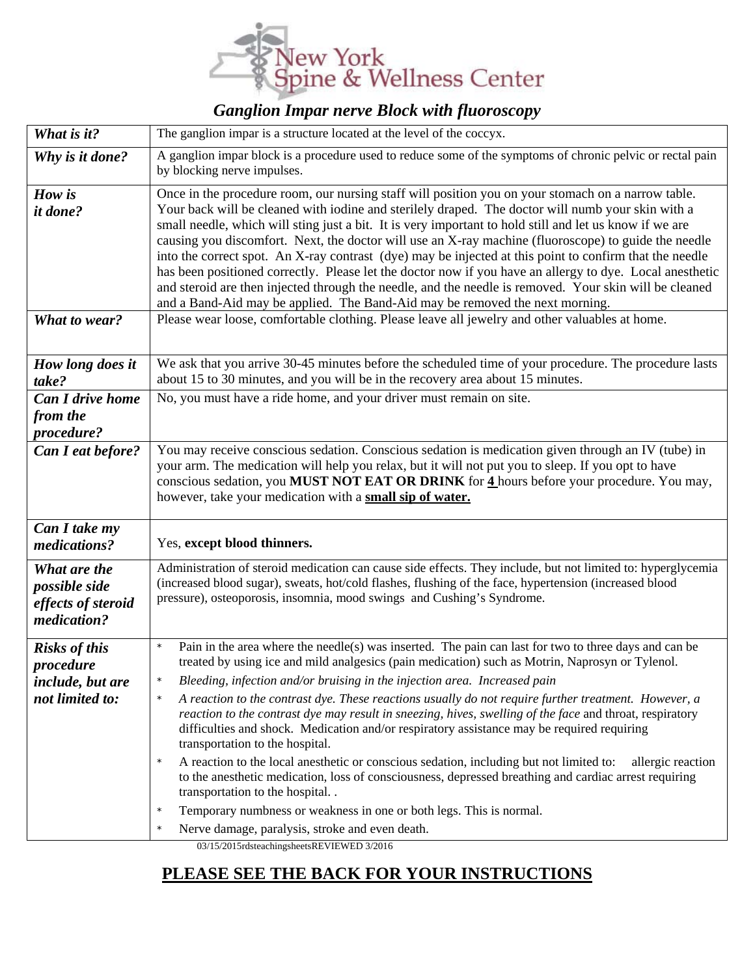

## *Ganglion Impar nerve Block with fluoroscopy*

| What is it?                                                              | The ganglion impar is a structure located at the level of the coccyx.                                                                                                                                                                                                                                                                                                                                                                                                                                                                                                                                                                                                                                                                                                                                                                                                                                                                                                                                                    |
|--------------------------------------------------------------------------|--------------------------------------------------------------------------------------------------------------------------------------------------------------------------------------------------------------------------------------------------------------------------------------------------------------------------------------------------------------------------------------------------------------------------------------------------------------------------------------------------------------------------------------------------------------------------------------------------------------------------------------------------------------------------------------------------------------------------------------------------------------------------------------------------------------------------------------------------------------------------------------------------------------------------------------------------------------------------------------------------------------------------|
| Why is it done?                                                          | A ganglion impar block is a procedure used to reduce some of the symptoms of chronic pelvic or rectal pain<br>by blocking nerve impulses.                                                                                                                                                                                                                                                                                                                                                                                                                                                                                                                                                                                                                                                                                                                                                                                                                                                                                |
| How is<br>it done?<br>What to wear?                                      | Once in the procedure room, our nursing staff will position you on your stomach on a narrow table.<br>Your back will be cleaned with iodine and sterilely draped. The doctor will numb your skin with a<br>small needle, which will sting just a bit. It is very important to hold still and let us know if we are<br>causing you discomfort. Next, the doctor will use an X-ray machine (fluoroscope) to guide the needle<br>into the correct spot. An X-ray contrast (dye) may be injected at this point to confirm that the needle<br>has been positioned correctly. Please let the doctor now if you have an allergy to dye. Local anesthetic<br>and steroid are then injected through the needle, and the needle is removed. Your skin will be cleaned<br>and a Band-Aid may be applied. The Band-Aid may be removed the next morning.<br>Please wear loose, comfortable clothing. Please leave all jewelry and other valuables at home.                                                                            |
| How long does it<br>take?                                                | We ask that you arrive 30-45 minutes before the scheduled time of your procedure. The procedure lasts<br>about 15 to 30 minutes, and you will be in the recovery area about 15 minutes.                                                                                                                                                                                                                                                                                                                                                                                                                                                                                                                                                                                                                                                                                                                                                                                                                                  |
| <b>Can I drive home</b><br>from the<br>procedure?                        | No, you must have a ride home, and your driver must remain on site.                                                                                                                                                                                                                                                                                                                                                                                                                                                                                                                                                                                                                                                                                                                                                                                                                                                                                                                                                      |
| Can I eat before?                                                        | You may receive conscious sedation. Conscious sedation is medication given through an IV (tube) in<br>your arm. The medication will help you relax, but it will not put you to sleep. If you opt to have<br>conscious sedation, you <b>MUST NOT EAT OR DRINK</b> for 4 hours before your procedure. You may,<br>however, take your medication with a small sip of water.                                                                                                                                                                                                                                                                                                                                                                                                                                                                                                                                                                                                                                                 |
| Can I take my<br>medications?                                            | Yes, except blood thinners.                                                                                                                                                                                                                                                                                                                                                                                                                                                                                                                                                                                                                                                                                                                                                                                                                                                                                                                                                                                              |
| What are the<br>possible side<br>effects of steroid<br>medication?       | Administration of steroid medication can cause side effects. They include, but not limited to: hyperglycemia<br>(increased blood sugar), sweats, hot/cold flashes, flushing of the face, hypertension (increased blood<br>pressure), osteoporosis, insomnia, mood swings and Cushing's Syndrome.                                                                                                                                                                                                                                                                                                                                                                                                                                                                                                                                                                                                                                                                                                                         |
| <b>Risks of this</b><br>procedure<br>include, but are<br>not limited to: | Pain in the area where the needle(s) was inserted. The pain can last for two to three days and can be<br>$\star$<br>treated by using ice and mild analgesics (pain medication) such as Motrin, Naprosyn or Tylenol.<br>Bleeding, infection and/or bruising in the injection area. Increased pain<br>A reaction to the contrast dye. These reactions usually do not require further treatment. However, a<br>$\star$<br>reaction to the contrast dye may result in sneezing, hives, swelling of the face and throat, respiratory<br>difficulties and shock. Medication and/or respiratory assistance may be required requiring<br>transportation to the hospital.<br>A reaction to the local anesthetic or conscious sedation, including but not limited to:<br>allergic reaction<br>$\star$<br>to the anesthetic medication, loss of consciousness, depressed breathing and cardiac arrest requiring<br>transportation to the hospital<br>Temporary numbness or weakness in one or both legs. This is normal.<br>$\star$ |
|                                                                          | Nerve damage, paralysis, stroke and even death.<br>03/15/2015rdsteachingsheetsREVIEWED 3/2016                                                                                                                                                                                                                                                                                                                                                                                                                                                                                                                                                                                                                                                                                                                                                                                                                                                                                                                            |

## **PLEASE SEE THE BACK FOR YOUR INSTRUCTIONS**